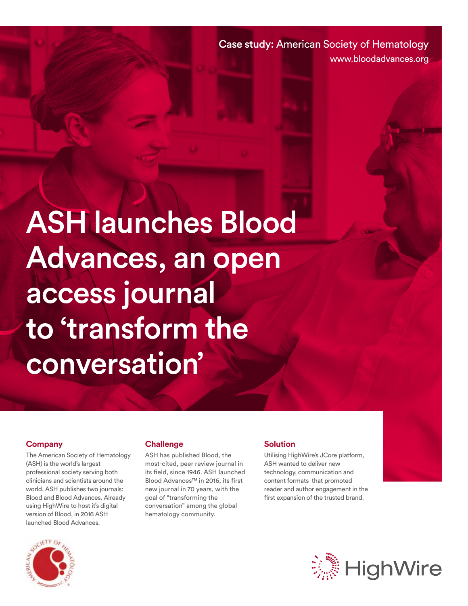Case study: American Society of Hematology www.bloodadvances.org

ASH launches Blood Advances, an open access journal to 'transform the conversation'

#### **Company**

The American Society of Hematology (ASH) is the world's largest professional society serving both clinicians and scientists around the world. ASH publishes two journals: Blood and Blood Advances. Already using HighWire to host it's digital version of Blood, in 2016 ASH launched Blood Advances.

#### **Challenge**

ASH has published Blood, the most-cited, peer review journal in its field, since 1946. ASH launched Blood Advances™ in 2016, its first new journal in 70 years, with the goal of "transforming the conversation" among the global hematology community.

#### **Solution**

Utilising HighWire's JCore platform, ASH wanted to deliver new technology, communication and content formats that promoted reader and author engagement in the first expansion of the trusted brand.